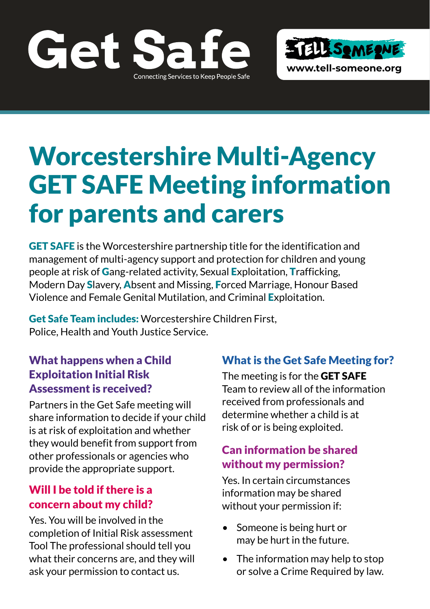



# Worcestershire Multi-Agency GET SAFE Meeting information for parents and carers

GET SAFE is the Worcestershire partnership title for the identification and management of multi-agency support and protection for children and young people at risk of Gang-related activity, Sexual Exploitation, Trafficking, Modern Day Slavery, Absent and Missing, Forced Marriage, Honour Based Violence and Female Genital Mutilation, and Criminal Exploitation.

Get Safe Team includes: Worcestershire Children First, Police, Health and Youth Justice Service.

# What happens when a Child Exploitation Initial Risk Assessment is received?

Partners in the Get Safe meeting will share information to decide if your child is at risk of exploitation and whether they would benefit from support from other professionals or agencies who provide the appropriate support.

### Will I be told if there is a concern about my child?

Yes. You will be involved in the completion of Initial Risk assessment Tool The professional should tell you what their concerns are, and they will ask your permission to contact us.

# What is the Get Safe Meeting for?

The meeting is for the **GET SAFE** Team to review all of the information received from professionals and determine whether a child is at risk of or is being exploited.

# Can information be shared without my permission?

Yes. In certain circumstances information may be shared without your permission if:

- Someone is being hurt or may be hurt in the future.
- The information may help to stop or solve a Crime Required by law.